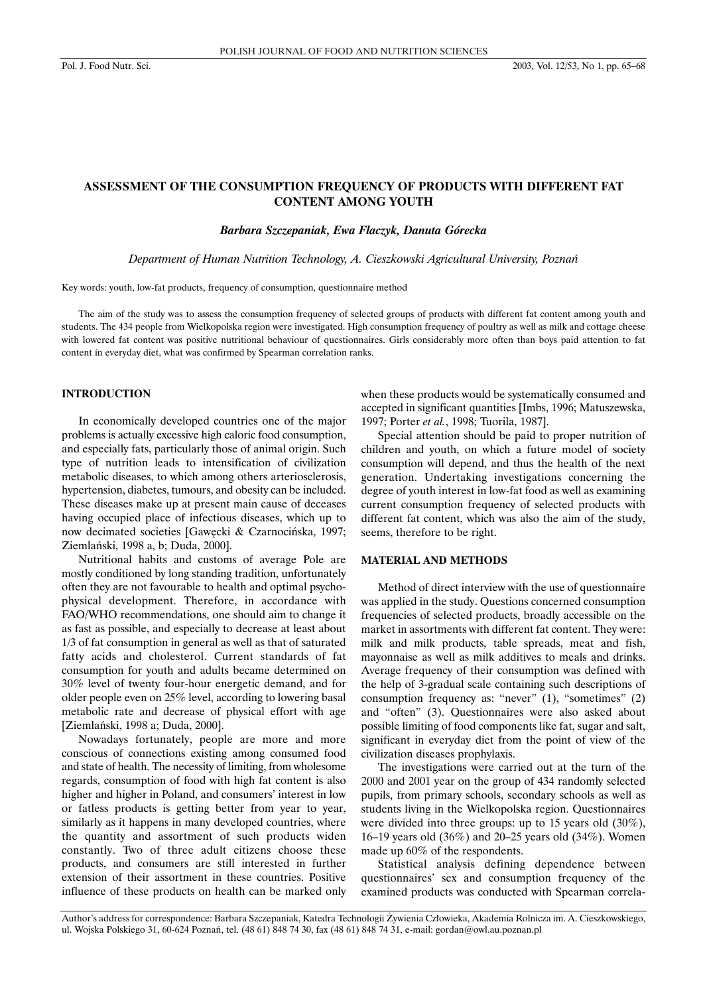# **ASSESSMENT OF THE CONSUMPTION FREQUENCY OF PRODUCTS WITH DIFFERENT FAT CONTENT AMONG YOUTH**

#### *Barbara Szczepaniak, Ewa Flaczyk, Danuta Górecka*

*Department of Human Nutrition Technology, A. Cieszkowski Agricultural University, Poznaƒ*

Key words: youth, low-fat products, frequency of consumption, questionnaire method

The aim of the study was to assess the consumption frequency of selected groups of products with different fat content among youth and students. The 434 people from Wielkopolska region were investigated. High consumption frequency of poultry as well as milk and cottage cheese with lowered fat content was positive nutritional behaviour of questionnaires. Girls considerably more often than boys paid attention to fat content in everyday diet, what was confirmed by Spearman correlation ranks.

# **INTRODUCTION**

In economically developed countries one of the major problems is actually excessive high caloric food consumption, and especially fats, particularly those of animal origin. Such type of nutrition leads to intensification of civilization metabolic diseases, to which among others arteriosclerosis, hypertension, diabetes, tumours, and obesity can be included. These diseases make up at present main cause of deceases having occupied place of infectious diseases, which up to now decimated societies [Gawęcki & Czarnocińska, 1997; Ziemlański, 1998 a, b; Duda, 2000].

Nutritional habits and customs of average Pole are mostly conditioned by long standing tradition, unfortunately often they are not favourable to health and optimal psychophysical development. Therefore, in accordance with FAO/WHO recommendations, one should aim to change it as fast as possible, and especially to decrease at least about 1/3 of fat consumption in general as well as that of saturated fatty acids and cholesterol. Current standards of fat consumption for youth and adults became determined on 30% level of twenty four-hour energetic demand, and for older people even on 25% level, according to lowering basal metabolic rate and decrease of physical effort with age [Ziemlański, 1998 a; Duda, 2000].

Nowadays fortunately, people are more and more conscious of connections existing among consumed food and state of health. The necessity of limiting, from wholesome regards, consumption of food with high fat content is also higher and higher in Poland, and consumers' interest in low or fatless products is getting better from year to year, similarly as it happens in many developed countries, where the quantity and assortment of such products widen constantly. Two of three adult citizens choose these products, and consumers are still interested in further extension of their assortment in these countries. Positive influence of these products on health can be marked only when these products would be systematically consumed and accepted in significant quantities [Imbs, 1996; Matuszewska, 1997; Porter *et al.*, 1998; Tuorila, 1987].

Special attention should be paid to proper nutrition of children and youth, on which a future model of society consumption will depend, and thus the health of the next generation. Undertaking investigations concerning the degree of youth interest in low-fat food as well as examining current consumption frequency of selected products with different fat content, which was also the aim of the study, seems, therefore to be right.

## **MATERIAL AND METHODS**

Method of direct interview with the use of questionnaire was applied in the study. Questions concerned consumption frequencies of selected products, broadly accessible on the market in assortments with different fat content. They were: milk and milk products, table spreads, meat and fish, mayonnaise as well as milk additives to meals and drinks. Average frequency of their consumption was defined with the help of 3-gradual scale containing such descriptions of consumption frequency as: "never" (1), "sometimes" (2) and "often" (3). Questionnaires were also asked about possible limiting of food components like fat, sugar and salt, significant in everyday diet from the point of view of the civilization diseases prophylaxis.

The investigations were carried out at the turn of the 2000 and 2001 year on the group of 434 randomly selected pupils, from primary schools, secondary schools as well as students living in the Wielkopolska region. Questionnaires were divided into three groups: up to 15 years old (30%), 16–19 years old (36%) and 20–25 years old (34%). Women made up 60% of the respondents.

Statistical analysis defining dependence between questionnaires' sex and consumption frequency of the examined products was conducted with Spearman correla-

Author's address for correspondence: Barbara Szczepaniak, Katedra Technologii Żywienia Człowieka, Akademia Rolnicza im. A. Cieszkowskiego, ul. Wojska Polskiego 31, 60-624 Poznań, tel. (48 61) 848 74 30, fax (48 61) 848 74 31, e-mail: gordan@owl.au.poznan.pl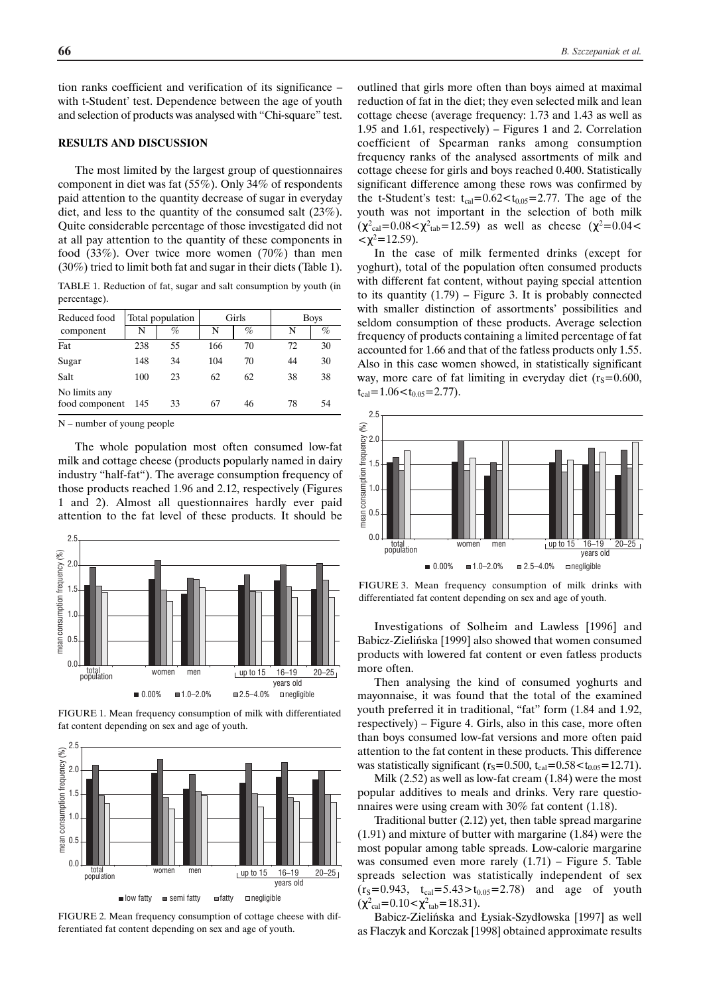tion ranks coefficient and verification of its significance – with t-Student' test. Dependence between the age of youth and selection of products was analysed with "Chi-square" test.

### **RESULTS AND DISCUSSION**

The most limited by the largest group of questionnaires component in diet was fat (55%). Only 34% of respondents paid attention to the quantity decrease of sugar in everyday diet, and less to the quantity of the consumed salt (23%). Quite considerable percentage of those investigated did not at all pay attention to the quantity of these components in food (33%). Over twice more women (70%) than men (30%) tried to limit both fat and sugar in their diets (Table 1).

TABLE 1. Reduction of fat, sugar and salt consumption by youth (in percentage).

| Reduced food                    | Total population |      | Girls |    | <b>Boys</b> |      |
|---------------------------------|------------------|------|-------|----|-------------|------|
| component                       | N                | $\%$ | N     | %  | N           | $\%$ |
| Fat                             | 238              | 55   | 166   | 70 | 72          | 30   |
| Sugar                           | 148              | 34   | 104   | 70 | 44          | 30   |
| Salt                            | 100              | 23   | 62    | 62 | 38          | 38   |
| No limits any<br>food component | 145              | 33   | 67    | 46 | 78          | 54   |

N – number of young people

The whole population most often consumed low-fat milk and cottage cheese (products popularly named in dairy industry "half-fat"). The average consumption frequency of those products reached 1.96 and 2.12, respectively (Figures 1 and 2). Almost all questionnaires hardly ever paid attention to the fat level of these products. It should be



FIGURE 1. Mean frequency consumption of milk with differentiated fat content depending on sex and age of youth.



FIGURE 2. Mean frequency consumption of cottage cheese with differentiated fat content depending on sex and age of youth.

outlined that girls more often than boys aimed at maximal reduction of fat in the diet; they even selected milk and lean cottage cheese (average frequency: 1.73 and 1.43 as well as 1.95 and 1.61, respectively) – Figures 1 and 2. Correlation coefficient of Spearman ranks among consumption frequency ranks of the analysed assortments of milk and cottage cheese for girls and boys reached 0.400. Statistically significant difference among these rows was confirmed by the t-Student's test:  $t_{cal} = 0.62 < t_{0.05} = 2.77$ . The age of the youth was not important in the selection of both milk  $(\chi^2_{\text{cal}}=0.08<\chi^2_{\text{tab}}=12.59)$  as well as cheese  $(\chi^2=0.04<$  $\langle \chi^2 = 12.59 \rangle$ .

In the case of milk fermented drinks (except for yoghurt), total of the population often consumed products with different fat content, without paying special attention to its quantity  $(1.79)$  – Figure 3. It is probably connected with smaller distinction of assortments' possibilities and seldom consumption of these products. Average selection frequency of products containing a limited percentage of fat accounted for 1.66 and that of the fatless products only 1.55. Also in this case women showed, in statistically significant way, more care of fat limiting in everyday diet  $(r_s=0.600,$  $t_{cal} = 1.06 < t_{0.05} = 2.77$ ).



FIGURE 3. Mean frequency consumption of milk drinks with differentiated fat content depending on sex and age of youth.

Investigations of Solheim and Lawless [1996] and Babicz-Zielińska [1999] also showed that women consumed products with lowered fat content or even fatless products more often.

Then analysing the kind of consumed yoghurts and mayonnaise, it was found that the total of the examined youth preferred it in traditional, "fat" form (1.84 and 1.92, respectively) – Figure 4. Girls, also in this case, more often than boys consumed low-fat versions and more often paid attention to the fat content in these products. This difference was statistically significant ( $r_s$ =0.500, t<sub>cal</sub>=0.58 $<$ t<sub>0.05</sub>=12.71).

Milk (2.52) as well as low-fat cream (1.84) were the most popular additives to meals and drinks. Very rare questionnaires were using cream with 30% fat content (1.18).

Traditional butter (2.12) yet, then table spread margarine (1.91) and mixture of butter with margarine (1.84) were the most popular among table spreads. Low-calorie margarine was consumed even more rarely (1.71) – Figure 5. Table spreads selection was statistically independent of sex  $(r_s=0.943, t_{cal}=5.43>t_{0.05}=2.78)$  and age of youth  $(\chi^2_{\text{cal}}=0.10<\chi^2_{\text{tab}}=18.31).$ 

Babicz-Zielińska and Łysiak-Szydłowska [1997] as well as Flaczyk and Korczak [1998] obtained approximate results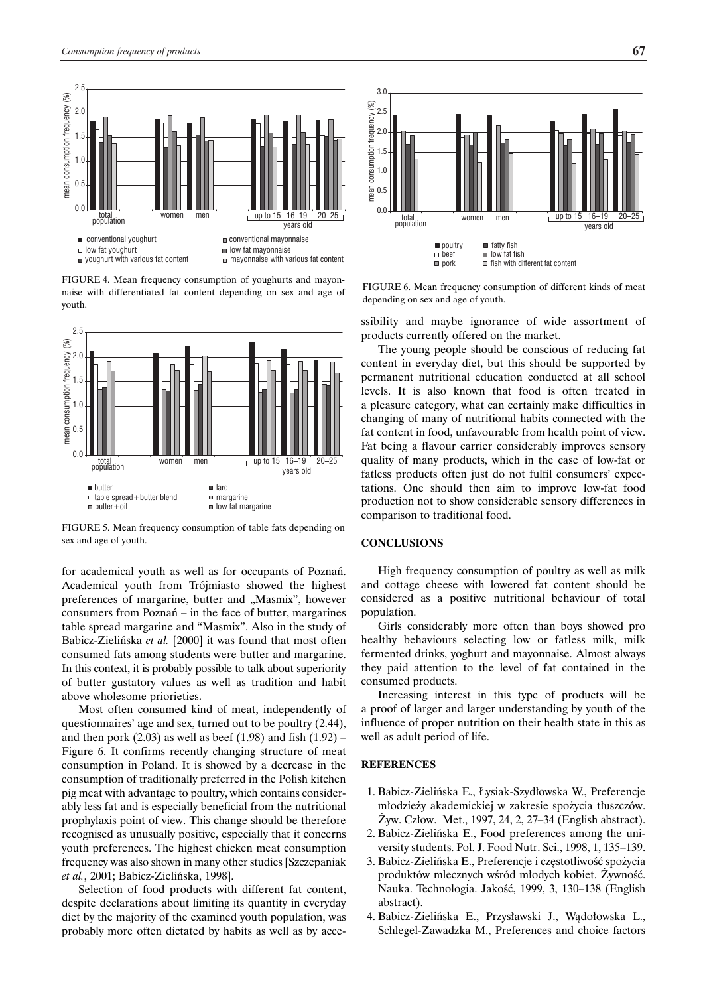



FIGURE 4. Mean frequency consumption of youghurts and mayonnaise with differentiated fat content depending on sex and age of youth.



FIGURE 5. Mean frequency consumption of table fats depending on sex and age of youth.

for academical youth as well as for occupants of Poznań. Academical youth from Trójmiasto showed the highest preferences of margarine, butter and "Masmix", however consumers from Poznań – in the face of butter, margarines table spread margarine and "Masmix". Also in the study of Babicz-Zielińska et al. [2000] it was found that most often consumed fats among students were butter and margarine. In this context, it is probably possible to talk about superiority of butter gustatory values as well as tradition and habit above wholesome priorieties.

Most often consumed kind of meat, independently of questionnaires' age and sex, turned out to be poultry (2.44), and then pork  $(2.03)$  as well as beef  $(1.98)$  and fish  $(1.92)$  – Figure 6. It confirms recently changing structure of meat consumption in Poland. It is showed by a decrease in the consumption of traditionally preferred in the Polish kitchen pig meat with advantage to poultry, which contains considerably less fat and is especially beneficial from the nutritional prophylaxis point of view. This change should be therefore recognised as unusually positive, especially that it concerns youth preferences. The highest chicken meat consumption frequency was also shown in many other studies [Szczepaniak *et al.*, 2001: Babicz-Zielińska, 1998].

Selection of food products with different fat content, despite declarations about limiting its quantity in everyday diet by the majority of the examined youth population, was probably more often dictated by habits as well as by acce-

FIGURE 6. Mean frequency consumption of different kinds of meat depending on sex and age of youth.

ssibility and maybe ignorance of wide assortment of products currently offered on the market.

The young people should be conscious of reducing fat content in everyday diet, but this should be supported by permanent nutritional education conducted at all school levels. It is also known that food is often treated in a pleasure category, what can certainly make difficulties in changing of many of nutritional habits connected with the fat content in food, unfavourable from health point of view. Fat being a flavour carrier considerably improves sensory quality of many products, which in the case of low-fat or fatless products often just do not fulfil consumers' expectations. One should then aim to improve low-fat food production not to show considerable sensory differences in comparison to traditional food.

#### **CONCLUSIONS**

High frequency consumption of poultry as well as milk and cottage cheese with lowered fat content should be considered as a positive nutritional behaviour of total population.

Girls considerably more often than boys showed pro healthy behaviours selecting low or fatless milk, milk fermented drinks, yoghurt and mayonnaise. Almost always they paid attention to the level of fat contained in the consumed products.

Increasing interest in this type of products will be a proof of larger and larger understanding by youth of the influence of proper nutrition on their health state in this as well as adult period of life.

#### **REFERENCES**

- 1. Babicz-Zielińska E., Łysiak-Szydłowska W., Preferencje młodzieży akademickiej w zakresie spożycia tłuszczów.  $\dot{Z}$ yw. Człow. Met., 1997, 24, 2, 27–34 (English abstract).
- 2. Babicz-Zielińska E., Food preferences among the university students. Pol. J. Food Nutr. Sci., 1998, 1, 135–139.
- 3. Babicz-Zielińska E., Preferencje i częstotliwość spożycia produktów mlecznych wśród młodych kobiet. Żywność. Nauka. Technologia. Jakość, 1999, 3, 130–138 (English abstract).
- 4. Babicz-Zielińska E., Przysławski J., Wądołowska L., Schlegel-Zawadzka M., Preferences and choice factors